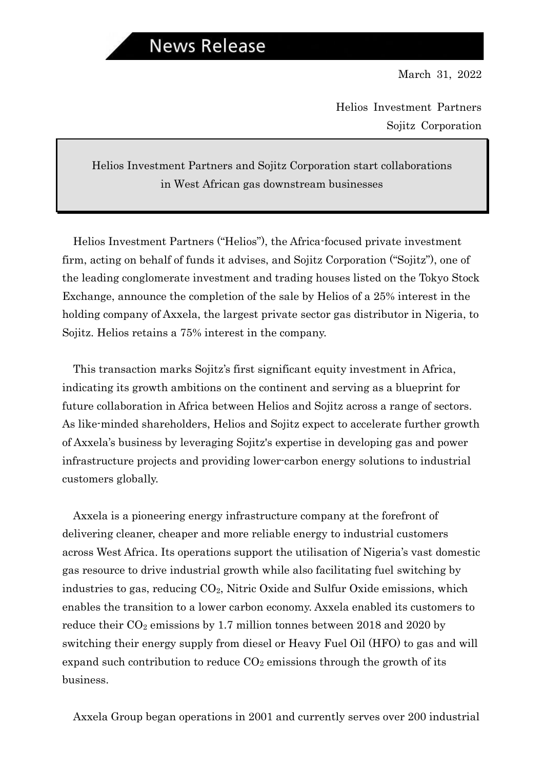Helios Investment Partners Sojitz Corporation

### Helios Investment Partners and Sojitz Corporation start collaborations in West African gas downstream businesses

Helios Investment Partners ("Helios"), the Africa-focused private investment firm, acting on behalf of funds it advises, and Sojitz Corporation ("Sojitz"), one of the leading conglomerate investment and trading houses listed on the Tokyo Stock Exchange, announce the completion of the sale by Helios of a 25% interest in the holding company of Axxela, the largest private sector gas distributor in Nigeria, to Sojitz. Helios retains a 75% interest in the company.

This transaction marks Sojitz's first significant equity investment in Africa, indicating its growth ambitions on the continent and serving as a blueprint for future collaboration in Africa between Helios and Sojitz across a range of sectors. As like-minded shareholders, Helios and Sojitz expect to accelerate further growth of Axxela's business by leveraging Sojitz's expertise in developing gas and power infrastructure projects and providing lower-carbon energy solutions to industrial customers globally.

Axxela is a pioneering energy infrastructure company at the forefront of delivering cleaner, cheaper and more reliable energy to industrial customers across West Africa. Its operations support the utilisation of Nigeria's vast domestic gas resource to drive industrial growth while also facilitating fuel switching by industries to gas, reducing  $CO<sub>2</sub>$ , Nitric Oxide and Sulfur Oxide emissions, which enables the transition to a lower carbon economy. Axxela enabled its customers to reduce their  $CO_2$  emissions by 1.7 million tonnes between 2018 and 2020 by switching their energy supply from diesel or Heavy Fuel Oil (HFO) to gas and will expand such contribution to reduce  $CO<sub>2</sub>$  emissions through the growth of its business.

Axxela Group began operations in 2001 and currently serves over 200 industrial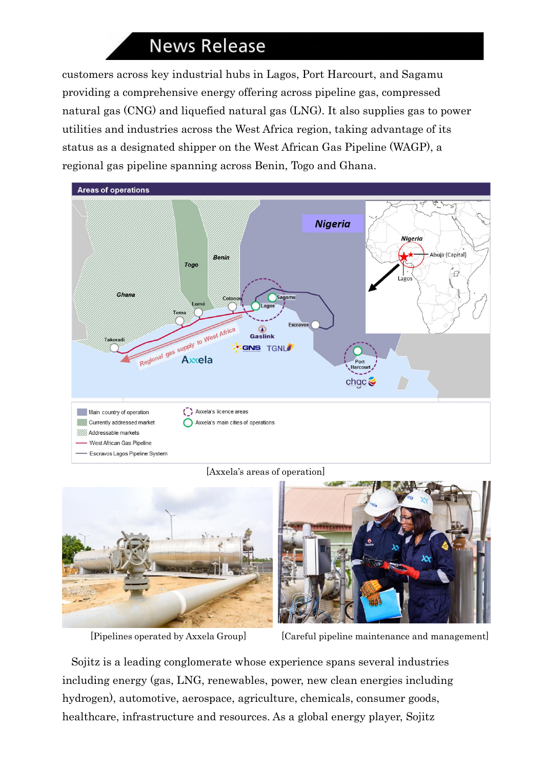# **News Release**

customers across key industrial hubs in Lagos, Port Harcourt, and Sagamu providing a comprehensive energy offering across pipeline gas, compressed natural gas (CNG) and liquefied natural gas (LNG). It also supplies gas to power utilities and industries across the West Africa region, taking advantage of its status as a designated shipper on the West African Gas Pipeline (WAGP), a regional gas pipeline spanning across Benin, Togo and Ghana.



#### [Axxela's areas of operation]



[Pipelines operated by Axxela Group] [Careful pipeline maintenance and management]

Sojitz is a leading conglomerate whose experience spans several industries including energy (gas, LNG, renewables, power, new clean energies including hydrogen), automotive, aerospace, agriculture, chemicals, consumer goods, healthcare, infrastructure and resources. As a global energy player, Sojitz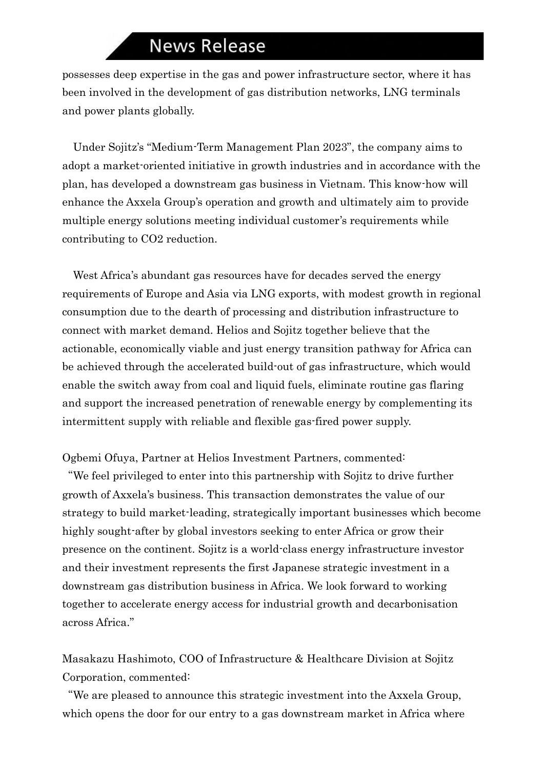## **News Release**

possesses deep expertise in the gas and power infrastructure sector, where it has been involved in the development of gas distribution networks, LNG terminals and power plants globally.

Under Sojitz's "Medium-Term Management Plan 2023", the company aims to adopt a market-oriented initiative in growth industries and in accordance with the plan, has developed a downstream gas business in Vietnam. This know-how will enhance the Axxela Group's operation and growth and ultimately aim to provide multiple energy solutions meeting individual customer's requirements while contributing to CO2 reduction.

West Africa's abundant gas resources have for decades served the energy requirements of Europe and Asia via LNG exports, with modest growth in regional consumption due to the dearth of processing and distribution infrastructure to connect with market demand. Helios and Sojitz together believe that the actionable, economically viable and just energy transition pathway for Africa can be achieved through the accelerated build-out of gas infrastructure, which would enable the switch away from coal and liquid fuels, eliminate routine gas flaring and support the increased penetration of renewable energy by complementing its intermittent supply with reliable and flexible gas-fired power supply.

Ogbemi Ofuya, Partner at Helios Investment Partners, commented:

"We feel privileged to enter into this partnership with Sojitz to drive further growth of Axxela's business. This transaction demonstrates the value of our strategy to build market-leading, strategically important businesses which become highly sought-after by global investors seeking to enter Africa or grow their presence on the continent. Sojitz is a world-class energy infrastructure investor and their investment represents the first Japanese strategic investment in a downstream gas distribution business in Africa. We look forward to working together to accelerate energy access for industrial growth and decarbonisation across Africa."

Masakazu Hashimoto, COO of Infrastructure & Healthcare Division at Sojitz Corporation, commented:

"We are pleased to announce this strategic investment into the Axxela Group, which opens the door for our entry to a gas downstream market in Africa where